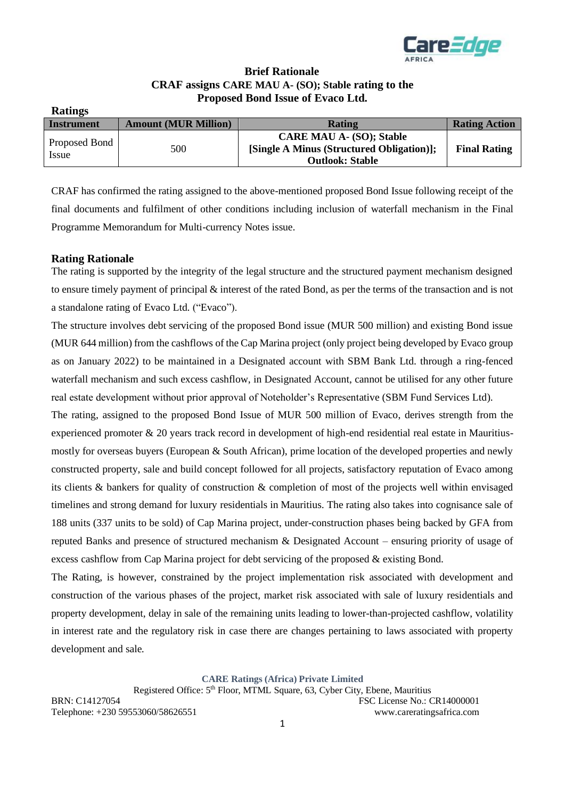

### **Brief Rationale CRAF assigns CARE MAU A- (SO); Stable rating to the Proposed Bond Issue of Evaco Ltd.**

| <b>Ratings</b>         |                             |                                                                                                        |                      |
|------------------------|-----------------------------|--------------------------------------------------------------------------------------------------------|----------------------|
| <b>Instrument</b>      | <b>Amount (MUR Million)</b> | <b>Rating</b>                                                                                          | <b>Rating Action</b> |
| Proposed Bond<br>Issue | 500                         | <b>CARE MAU A- (SO); Stable</b><br>[Single A Minus (Structured Obligation)];<br><b>Outlook: Stable</b> | <b>Final Rating</b>  |

CRAF has confirmed the rating assigned to the above-mentioned proposed Bond Issue following receipt of the final documents and fulfilment of other conditions including inclusion of waterfall mechanism in the Final Programme Memorandum for Multi-currency Notes issue.

#### **Rating Rationale**

The rating is supported by the integrity of the legal structure and the structured payment mechanism designed to ensure timely payment of principal & interest of the rated Bond, as per the terms of the transaction and is not a standalone rating of Evaco Ltd. ("Evaco").

The structure involves debt servicing of the proposed Bond issue (MUR 500 million) and existing Bond issue (MUR 644 million) from the cashflows of the Cap Marina project (only project being developed by Evaco group as on January 2022) to be maintained in a Designated account with SBM Bank Ltd. through a ring-fenced waterfall mechanism and such excess cashflow, in Designated Account, cannot be utilised for any other future real estate development without prior approval of Noteholder's Representative (SBM Fund Services Ltd).

The rating, assigned to the proposed Bond Issue of MUR 500 million of Evaco, derives strength from the experienced promoter & 20 years track record in development of high-end residential real estate in Mauritiusmostly for overseas buyers (European & South African), prime location of the developed properties and newly constructed property, sale and build concept followed for all projects, satisfactory reputation of Evaco among its clients & bankers for quality of construction & completion of most of the projects well within envisaged timelines and strong demand for luxury residentials in Mauritius. The rating also takes into cognisance sale of 188 units (337 units to be sold) of Cap Marina project, under-construction phases being backed by GFA from reputed Banks and presence of structured mechanism & Designated Account – ensuring priority of usage of excess cashflow from Cap Marina project for debt servicing of the proposed & existing Bond.

The Rating, is however, constrained by the project implementation risk associated with development and construction of the various phases of the project, market risk associated with sale of luxury residentials and property development, delay in sale of the remaining units leading to lower-than-projected cashflow, volatility in interest rate and the regulatory risk in case there are changes pertaining to laws associated with property development and sale.

**CARE Ratings (Africa) Private Limited**

Registered Office: 5<sup>th</sup> Floor, MTML Square, 63, Cyber City, Ebene, Mauritius BRN: C14127054 FSC License No.: CR14000001 Telephone: +230 59553060/58626551 www.careratingsafrica.com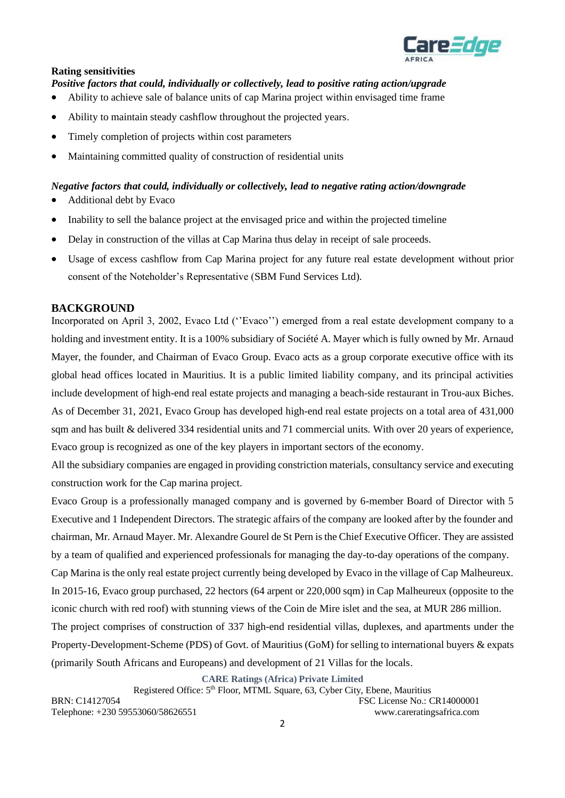

#### **Rating sensitivities**

*Positive factors that could, individually or collectively, lead to positive rating action/upgrade* 

- Ability to achieve sale of balance units of cap Marina project within envisaged time frame
- Ability to maintain steady cashflow throughout the projected years.
- Timely completion of projects within cost parameters
- Maintaining committed quality of construction of residential units

# *Negative factors that could, individually or collectively, lead to negative rating action/downgrade*

- Additional debt by Evaco
- Inability to sell the balance project at the envisaged price and within the projected timeline
- Delay in construction of the villas at Cap Marina thus delay in receipt of sale proceeds.
- Usage of excess cashflow from Cap Marina project for any future real estate development without prior consent of the Noteholder's Representative (SBM Fund Services Ltd).

#### **BACKGROUND**

Incorporated on April 3, 2002, Evaco Ltd (''Evaco'') emerged from a real estate development company to a holding and investment entity. It is a 100% subsidiary of Société A. Mayer which is fully owned by Mr. Arnaud Mayer, the founder, and Chairman of Evaco Group. Evaco acts as a group corporate executive office with its global head offices located in Mauritius. It is a public limited liability company, and its principal activities include development of high-end real estate projects and managing a beach-side restaurant in Trou-aux Biches. As of December 31, 2021, Evaco Group has developed high-end real estate projects on a total area of 431,000 sqm and has built & delivered 334 residential units and 71 commercial units. With over 20 years of experience, Evaco group is recognized as one of the key players in important sectors of the economy.

All the subsidiary companies are engaged in providing constriction materials, consultancy service and executing construction work for the Cap marina project.

Evaco Group is a professionally managed company and is governed by 6-member Board of Director with 5 Executive and 1 Independent Directors. The strategic affairs of the company are looked after by the founder and chairman, Mr. Arnaud Mayer. Mr. Alexandre Gourel de St Pern is the Chief Executive Officer. They are assisted by a team of qualified and experienced professionals for managing the day-to-day operations of the company. Cap Marina is the only real estate project currently being developed by Evaco in the village of Cap Malheureux. In 2015-16, Evaco group purchased, 22 hectors (64 arpent or 220,000 sqm) in Cap Malheureux (opposite to the iconic church with red roof) with stunning views of the Coin de Mire islet and the sea, at MUR 286 million. The project comprises of construction of 337 high-end residential villas, duplexes, and apartments under the Property-Development-Scheme (PDS) of Govt. of Mauritius (GoM) for selling to international buyers & expats (primarily South Africans and Europeans) and development of 21 Villas for the locals.

**CARE Ratings (Africa) Private Limited**

Registered Office: 5<sup>th</sup> Floor, MTML Square, 63, Cyber City, Ebene, Mauritius BRN: C14127054 FSC License No.: CR14000001 Telephone: +230 59553060/58626551 www.careratingsafrica.com 2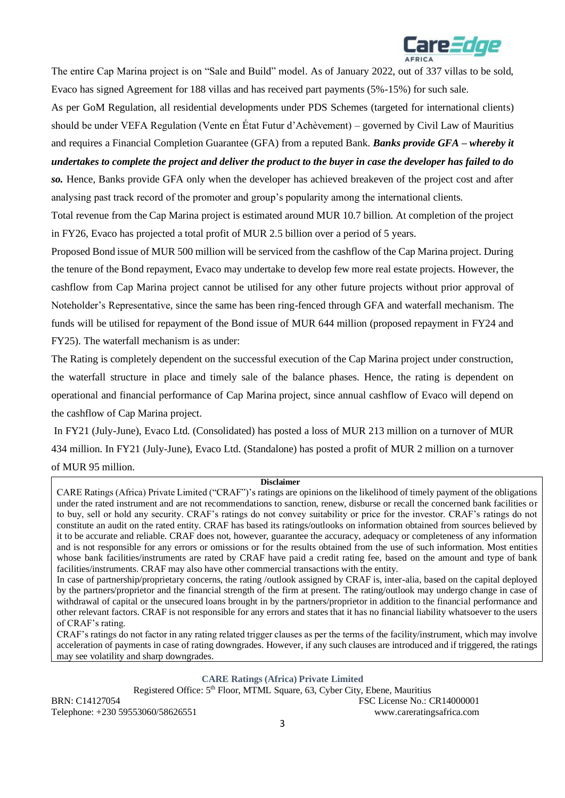

The entire Cap Marina project is on "Sale and Build" model. As of January 2022, out of 337 villas to be sold, Evaco has signed Agreement for 188 villas and has received part payments (5%-15%) for such sale.

As per GoM Regulation, all residential developments under PDS Schemes (targeted for international clients) should be under VEFA Regulation (Vente en État Futur d'Achèvement) – governed by Civil Law of Mauritius and requires a Financial Completion Guarantee (GFA) from a reputed Bank. *Banks provide GFA – whereby it undertakes to complete the project and deliver the product to the buyer in case the developer has failed to do so.* Hence, Banks provide GFA only when the developer has achieved breakeven of the project cost and after

analysing past track record of the promoter and group's popularity among the international clients. Total revenue from the Cap Marina project is estimated around MUR 10.7 billion. At completion of the project

in FY26, Evaco has projected a total profit of MUR 2.5 billion over a period of 5 years.

Proposed Bond issue of MUR 500 million will be serviced from the cashflow of the Cap Marina project. During the tenure of the Bond repayment, Evaco may undertake to develop few more real estate projects. However, the cashflow from Cap Marina project cannot be utilised for any other future projects without prior approval of Noteholder's Representative, since the same has been ring-fenced through GFA and waterfall mechanism. The funds will be utilised for repayment of the Bond issue of MUR 644 million (proposed repayment in FY24 and FY25). The waterfall mechanism is as under:

The Rating is completely dependent on the successful execution of the Cap Marina project under construction, the waterfall structure in place and timely sale of the balance phases. Hence, the rating is dependent on operational and financial performance of Cap Marina project, since annual cashflow of Evaco will depend on the cashflow of Cap Marina project.

In FY21 (July-June), Evaco Ltd. (Consolidated) has posted a loss of MUR 213 million on a turnover of MUR 434 million. In FY21 (July-June), Evaco Ltd. (Standalone) has posted a profit of MUR 2 million on a turnover of MUR 95 million.

#### **Disclaimer**

CARE Ratings (Africa) Private Limited ("CRAF")'s ratings are opinions on the likelihood of timely payment of the obligations under the rated instrument and are not recommendations to sanction, renew, disburse or recall the concerned bank facilities or to buy, sell or hold any security. CRAF's ratings do not convey suitability or price for the investor. CRAF's ratings do not constitute an audit on the rated entity. CRAF has based its ratings/outlooks on information obtained from sources believed by it to be accurate and reliable. CRAF does not, however, guarantee the accuracy, adequacy or completeness of any information and is not responsible for any errors or omissions or for the results obtained from the use of such information. Most entities whose bank facilities/instruments are rated by CRAF have paid a credit rating fee, based on the amount and type of bank facilities/instruments. CRAF may also have other commercial transactions with the entity.

In case of partnership/proprietary concerns, the rating /outlook assigned by CRAF is, inter-alia, based on the capital deployed by the partners/proprietor and the financial strength of the firm at present. The rating/outlook may undergo change in case of withdrawal of capital or the unsecured loans brought in by the partners/proprietor in addition to the financial performance and other relevant factors. CRAF is not responsible for any errors and states that it has no financial liability whatsoever to the users of CRAF's rating.

CRAF's ratings do not factor in any rating related trigger clauses as per the terms of the facility/instrument, which may involve acceleration of payments in case of rating downgrades. However, if any such clauses are introduced and if triggered, the ratings may see volatility and sharp downgrades.

**CARE Ratings (Africa) Private Limited**

Registered Office: 5<sup>th</sup> Floor, MTML Square, 63, Cyber City, Ebene, Mauritius BRN: C14127054 FSC License No.: CR14000001 Telephone: +230 59553060/58626551 www.careratingsafrica.com